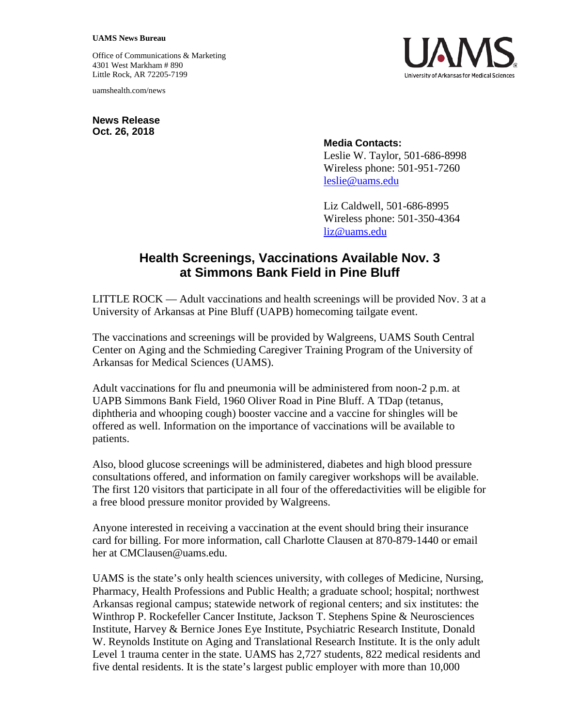## **UAMS News Bureau**

Office of Communications & Marketing 4301 West Markham # 890 Little Rock, AR 72205-7199

uamshealth.com/news

**News Release Oct. 26, 2018**



## **Media Contacts:**

Leslie W. Taylor, 501-686-8998 Wireless phone: 501-951-7260 [leslie@uams.edu](mailto:leslie@uams.edu)

Liz Caldwell, 501-686-8995 Wireless phone: 501-350-4364 [liz@uams.edu](mailto:liz@uams.edu)

## **Health Screenings, Vaccinations Available Nov. 3 at Simmons Bank Field in Pine Bluff**

LITTLE ROCK — Adult vaccinations and health screenings will be provided Nov. 3 at a University of Arkansas at Pine Bluff (UAPB) homecoming tailgate event.

The vaccinations and screenings will be provided by Walgreens, UAMS South Central Center on Aging and the Schmieding Caregiver Training Program of the University of Arkansas for Medical Sciences (UAMS).

Adult vaccinations for flu and pneumonia will be administered from noon-2 p.m. at UAPB Simmons Bank Field, 1960 Oliver Road in Pine Bluff. A TDap (tetanus, diphtheria and whooping cough) booster vaccine and a vaccine for shingles will be offered as well. Information on the importance of vaccinations will be available to patients.

Also, blood glucose screenings will be administered, diabetes and high blood pressure consultations offered, and information on family caregiver workshops will be available. The first 120 visitors that participate in all four of the offeredactivities will be eligible for a free blood pressure monitor provided by Walgreens.

Anyone interested in receiving a vaccination at the event should bring their insurance card for billing. For more information, call Charlotte Clausen at 870-879-1440 or email her at CMClausen@uams.edu.

UAMS is the state's only health sciences university, with colleges of Medicine, Nursing, Pharmacy, Health Professions and Public Health; a graduate school; hospital; northwest Arkansas regional campus; statewide network of regional centers; and six institutes: the Winthrop P. Rockefeller Cancer Institute, Jackson T. Stephens Spine & Neurosciences Institute, Harvey & Bernice Jones Eye Institute, Psychiatric Research Institute, Donald W. Reynolds Institute on Aging and Translational Research Institute. It is the only adult Level 1 trauma center in the state. UAMS has 2,727 students, 822 medical residents and five dental residents. It is the state's largest public employer with more than 10,000